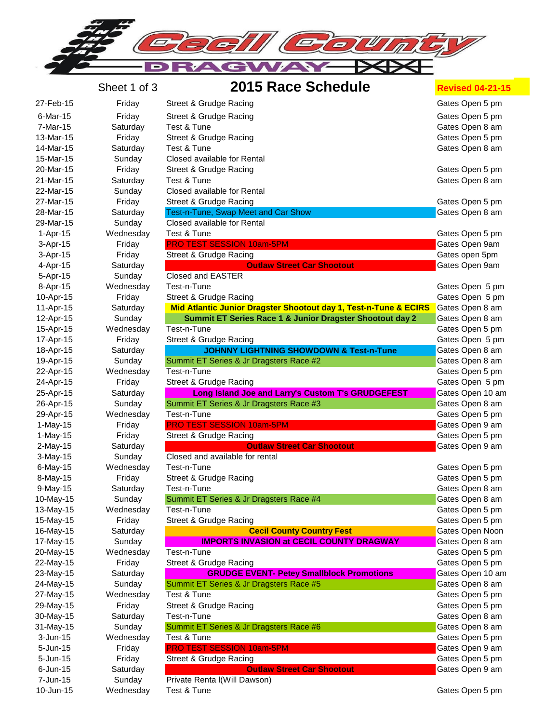

|                      | Sheet 1 of 3 | 2015 Race Schedule                                               | <b>Revised 04-21-15</b> |
|----------------------|--------------|------------------------------------------------------------------|-------------------------|
| 27-Feb-15            | Friday       | Street & Grudge Racing                                           | Gates Open 5 pm         |
| 6-Mar-15             | Friday       | Street & Grudge Racing                                           | Gates Open 5 pm         |
| 7-Mar-15             | Saturday     | Test & Tune                                                      | Gates Open 8 am         |
| 13-Mar-15            | Friday       | Street & Grudge Racing                                           | Gates Open 5 pm         |
| 14-Mar-15            | Saturday     | Test & Tune                                                      | Gates Open 8 am         |
| 15-Mar-15            | Sunday       | Closed available for Rental                                      |                         |
| 20-Mar-15            | Friday       | Street & Grudge Racing                                           | Gates Open 5 pm         |
| 21-Mar-15            | Saturday     | Test & Tune                                                      | Gates Open 8 am         |
| 22-Mar-15            | Sunday       | Closed available for Rental                                      |                         |
| 27-Mar-15            | Friday       | Street & Grudge Racing                                           | Gates Open 5 pm         |
| 28-Mar-15            | Saturday     | Test-n-Tune, Swap Meet and Car Show                              | Gates Open 8 am         |
| 29-Mar-15            | Sunday       | Closed available for Rental                                      |                         |
| 1-Apr-15             | Wednesday    | Test & Tune                                                      | Gates Open 5 pm         |
| 3-Apr-15             | Friday       | PRO TEST SESSION 10am-5PM                                        | Gates Open 9am          |
| 3-Apr-15             | Friday       | Street & Grudge Racing                                           | Gates open 5pm          |
| 4-Apr-15             | Saturday     | <b>Outlaw Street Car Shootout</b>                                | Gates Open 9am          |
| 5-Apr-15             | Sunday       | Closed and EASTER                                                |                         |
| 8-Apr-15             | Wednesday    | Test-n-Tune                                                      | Gates Open 5 pm         |
| 10-Apr-15            | Friday       | Street & Grudge Racing                                           | Gates Open 5 pm         |
| 11-Apr-15            | Saturday     | Mid Atlantic Junior Dragster Shootout day 1, Test-n-Tune & ECIRS | Gates Open 8 am         |
| 12-Apr-15            | Sunday       | Summit ET Series Race 1 & Junior Dragster Shootout day 2         | Gates Open 8 am         |
| 15-Apr-15            | Wednesday    | Test-n-Tune                                                      | Gates Open 5 pm         |
| 17-Apr-15            | Friday       | Street & Grudge Racing                                           | Gates Open 5 pm         |
| 18-Apr-15            | Saturday     | <b>JOHNNY LIGHTNING SHOWDOWN &amp; Test-n-Tune</b>               | Gates Open 8 am         |
| 19-Apr-15            | Sunday       | Summit ET Series & Jr Dragsters Race #2                          | Gates Open 8 am         |
| 22-Apr-15            | Wednesday    | Test-n-Tune                                                      | Gates Open 5 pm         |
| 24-Apr-15            | Friday       | Street & Grudge Racing                                           | Gates Open 5 pm         |
| 25-Apr-15            | Saturday     | Long Island Joe and Larry's Custom T's GRUDGEFEST                | Gates Open 10 am        |
| 26-Apr-15            | Sunday       | Summit ET Series & Jr Dragsters Race #3                          | Gates Open 8 am         |
| 29-Apr-15            | Wednesday    | Test-n-Tune                                                      | Gates Open 5 pm         |
| 1-May-15             | Friday       | <b>PRO TEST SESSION 10am-5PM</b>                                 | Gates Open 9 am         |
| 1-May-15             | Friday       | Street & Grudge Racing                                           | Gates Open 5 pm         |
| 2-May-15             | Saturday     | <b>Outlaw Street Car Shootout</b>                                | Gates Open 9 am         |
| 3-May-15             | Sunday       | Closed and available for rental                                  |                         |
| 6-May-15             | Wednesday    | Test-n-Tune                                                      | Gates Open 5 pm         |
| 8-May-15             | Friday       | Street & Grudge Racing                                           | Gates Open 5 pm         |
| 9-May-15             | Saturday     | Test-n-Tune                                                      | Gates Open 8 am         |
| 10-May-15            | Sunday       | Summit ET Series & Jr Dragsters Race #4                          | Gates Open 8 am         |
| 13-May-15            | Wednesday    | Test-n-Tune                                                      | Gates Open 5 pm         |
| 15-May-15            | Friday       | Street & Grudge Racing                                           | Gates Open 5 pm         |
| 16-May-15            | Saturday     | <b>Cecil County Country Fest</b>                                 | Gates Open Noon         |
| 17-May-15            | Sunday       | <b>IMPORTS INVASION at CECIL COUNTY DRAGWAY</b>                  | Gates Open 8 am         |
| 20-May-15            | Wednesday    | Test-n-Tune                                                      | Gates Open 5 pm         |
| 22-May-15            | Friday       | Street & Grudge Racing                                           | Gates Open 5 pm         |
| 23-May-15            | Saturday     | <b>GRUDGE EVENT- Petey Smallblock Promotions</b>                 | Gates Open 10 am        |
| 24-May-15            | Sunday       | Summit ET Series & Jr Dragsters Race #5                          | Gates Open 8 am         |
| 27-May-15            | Wednesday    | Test & Tune                                                      | Gates Open 5 pm         |
| 29-May-15            | Friday       | Street & Grudge Racing                                           | Gates Open 5 pm         |
| 30-May-15            | Saturday     | Test-n-Tune                                                      | Gates Open 8 am         |
| 31-May-15            | Sunday       | Summit ET Series & Jr Dragsters Race #6                          | Gates Open 8 am         |
| $3 - Jun-15$         | Wednesday    | Test & Tune                                                      | Gates Open 5 pm         |
| 5-Jun-15             | Friday       | PRO TEST SESSION 10am-5PM                                        | Gates Open 9 am         |
| 5-Jun-15             | Friday       | Street & Grudge Racing                                           | Gates Open 5 pm         |
| 6-Jun-15<br>7-Jun-15 | Saturday     | <b>Outlaw Street Car Shootout</b>                                | Gates Open 9 am         |
| 10-Jun-15            | Sunday       | Private Renta I(Will Dawson)<br>Test & Tune                      |                         |
|                      | Wednesday    |                                                                  | Gates Open 5 pm         |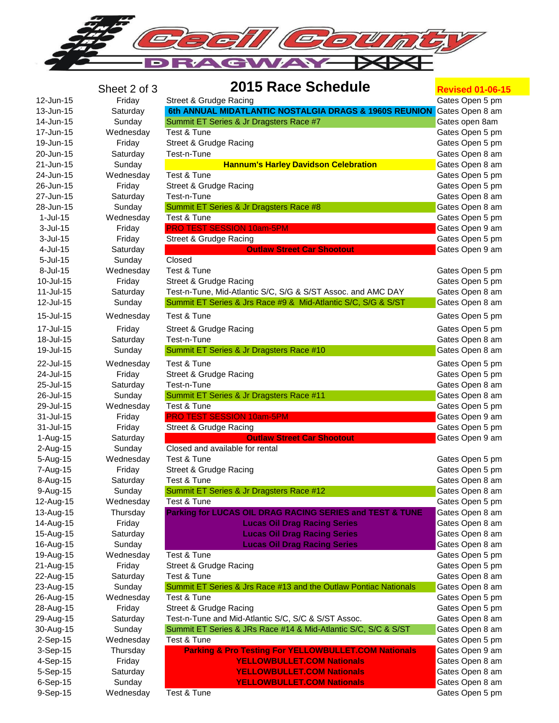

## **Sheet 2 of 3 2015 Race Schedule Revised 01-06-15**

| 12-Jun-15            | Friday             | Street & Grudge Racing                                                 | Gates Open 5 pm                    |
|----------------------|--------------------|------------------------------------------------------------------------|------------------------------------|
| 13-Jun-15            | Saturday           | 6th ANNUAL MIDATLANTIC NOSTALGIA DRAGS & 1960S REUNION Gates Open 8 am |                                    |
| 14-Jun-15            | Sunday             | Summit ET Series & Jr Dragsters Race #7                                | Gates open 8am                     |
| 17-Jun-15            | Wednesday          | Test & Tune                                                            | Gates Open 5 pm                    |
| 19-Jun-15            | Friday             | Street & Grudge Racing                                                 | Gates Open 5 pm                    |
| 20-Jun-15            | Saturday           | Test-n-Tune                                                            | Gates Open 8 am                    |
| 21-Jun-15            | Sunday             | <b>Hannum's Harley Davidson Celebration</b>                            | Gates Open 8 am                    |
| 24-Jun-15            | Wednesday          | Test & Tune                                                            | Gates Open 5 pm                    |
| 26-Jun-15            | Friday             | Street & Grudge Racing                                                 | Gates Open 5 pm                    |
| 27-Jun-15            | Saturday           | Test-n-Tune                                                            | Gates Open 8 am                    |
| 28-Jun-15            | Sunday             | Summit ET Series & Jr Dragsters Race #8                                | Gates Open 8 am                    |
| $1-Jul-15$           | Wednesday          | Test & Tune                                                            | Gates Open 5 pm                    |
| $3$ -Jul-15          | Friday             | PRO TEST SESSION 10am-5PM                                              | Gates Open 9 am                    |
| $3$ -Jul-15          | Friday             | Street & Grudge Racing                                                 | Gates Open 5 pm                    |
| 4-Jul-15             | Saturday           | <b>Outlaw Street Car Shootout</b>                                      | Gates Open 9 am                    |
| $5 -$ Jul $-15$      | Sunday             | Closed                                                                 |                                    |
| 8-Jul-15             | Wednesday          | Test & Tune                                                            | Gates Open 5 pm                    |
| 10-Jul-15            | Friday             | Street & Grudge Racing                                                 | Gates Open 5 pm                    |
| 11-Jul-15            | Saturday           | Test-n-Tune, Mid-Atlantic S/C, S/G & S/ST Assoc. and AMC DAY           | Gates Open 8 am                    |
| 12-Jul-15            | Sunday             | Summit ET Series & Jrs Race #9 & Mid-Atlantic S/C, S/G & S/ST          | Gates Open 8 am                    |
| 15-Jul-15            | Wednesday          | Test & Tune                                                            | Gates Open 5 pm                    |
| 17-Jul-15            | Friday             | Street & Grudge Racing                                                 | Gates Open 5 pm                    |
| 18-Jul-15            | Saturday           | Test-n-Tune                                                            | Gates Open 8 am                    |
| 19-Jul-15            | Sunday             | Summit ET Series & Jr Dragsters Race #10                               | Gates Open 8 am                    |
| 22-Jul-15            | Wednesday          | Test & Tune                                                            | Gates Open 5 pm                    |
| 24-Jul-15            | Friday             | Street & Grudge Racing                                                 | Gates Open 5 pm                    |
| 25-Jul-15            | Saturday           | Test-n-Tune                                                            | Gates Open 8 am                    |
| 26-Jul-15            | Sunday             | Summit ET Series & Jr Dragsters Race #11                               | Gates Open 8 am                    |
| 29-Jul-15            | Wednesday          | Test & Tune                                                            | Gates Open 5 pm                    |
| 31-Jul-15            | Friday             | PRO TEST SESSION 10am-5PM                                              | Gates Open 9 am                    |
| 31-Jul-15            | Friday             | Street & Grudge Racing                                                 | Gates Open 5 pm                    |
| 1-Aug-15             | Saturday           | <b>Outlaw Street Car Shootout</b>                                      | Gates Open 9 am                    |
| 2-Aug-15             | Sunday             | Closed and available for rental                                        |                                    |
| 5-Aug-15             | Wednesday          | Test & Tune                                                            | Gates Open 5 pm                    |
| 7-Aug-15             | Friday             | Street & Grudge Racing                                                 | Gates Open 5 pm                    |
| 8-Aug-15             | Saturday           | Test & Tune                                                            | Gates Open 8 am                    |
| 9-Aug-15             | Sunday             | Summit ET Series & Jr Dragsters Race #12                               | Gates Open 8 am                    |
| 12-Aug-15            | Wednesday          | Test & Tune                                                            | Gates Open 5 pm                    |
| 13-Aug-15            | Thursday           | <b>Parking for LUCAS OIL DRAG RACING SERIES and TEST &amp; TUNE</b>    | Gates Open 8 am                    |
| 14-Aug-15            | Friday             | <b>Lucas Oil Drag Racing Series</b>                                    | Gates Open 8 am                    |
| 15-Aug-15            | Saturday           | <b>Lucas Oil Drag Racing Series</b>                                    | Gates Open 8 am                    |
| 16-Aug-15            | Sunday             | <b>Lucas Oil Drag Racing Series</b>                                    | Gates Open 8 am                    |
| 19-Aug-15            | Wednesday          | Test & Tune                                                            | Gates Open 5 pm                    |
| 21-Aug-15            | Friday             | Street & Grudge Racing                                                 | Gates Open 5 pm                    |
| 22-Aug-15            | Saturday           | Test & Tune                                                            | Gates Open 8 am                    |
| 23-Aug-15            | Sunday             | Summit ET Series & Jrs Race #13 and the Outlaw Pontiac Nationals       | Gates Open 8 am                    |
| 26-Aug-15            | Wednesday          | Test & Tune                                                            | Gates Open 5 pm                    |
| 28-Aug-15            | Friday             | Street & Grudge Racing                                                 | Gates Open 5 pm                    |
| 29-Aug-15            | Saturday           | Test-n-Tune and Mid-Atlantic S/C, S/C & S/ST Assoc.                    | Gates Open 8 am                    |
| 30-Aug-15            | Sunday             | Summit ET Series & JRs Race #14 & Mid-Atlantic S/C, S/C & S/ST         | Gates Open 8 am                    |
| 2-Sep-15             | Wednesday          | Test & Tune                                                            | Gates Open 5 pm                    |
| 3-Sep-15             | Thursday           | <b>Parking &amp; Pro Testing For YELLOWBULLET.COM Nationals</b>        | Gates Open 9 am                    |
| 4-Sep-15             | Friday             | <b>YELLOWBULLET.COM Nationals</b>                                      | Gates Open 8 am                    |
| 5-Sep-15<br>6-Sep-15 | Saturday<br>Sunday | <b>YELLOWBULLET.COM Nationals</b><br><b>YELLOWBULLET.COM Nationals</b> | Gates Open 8 am<br>Gates Open 8 am |
| 9-Sep-15             | Wednesday          | Test & Tune                                                            | Gates Open 5 pm                    |
|                      |                    |                                                                        |                                    |